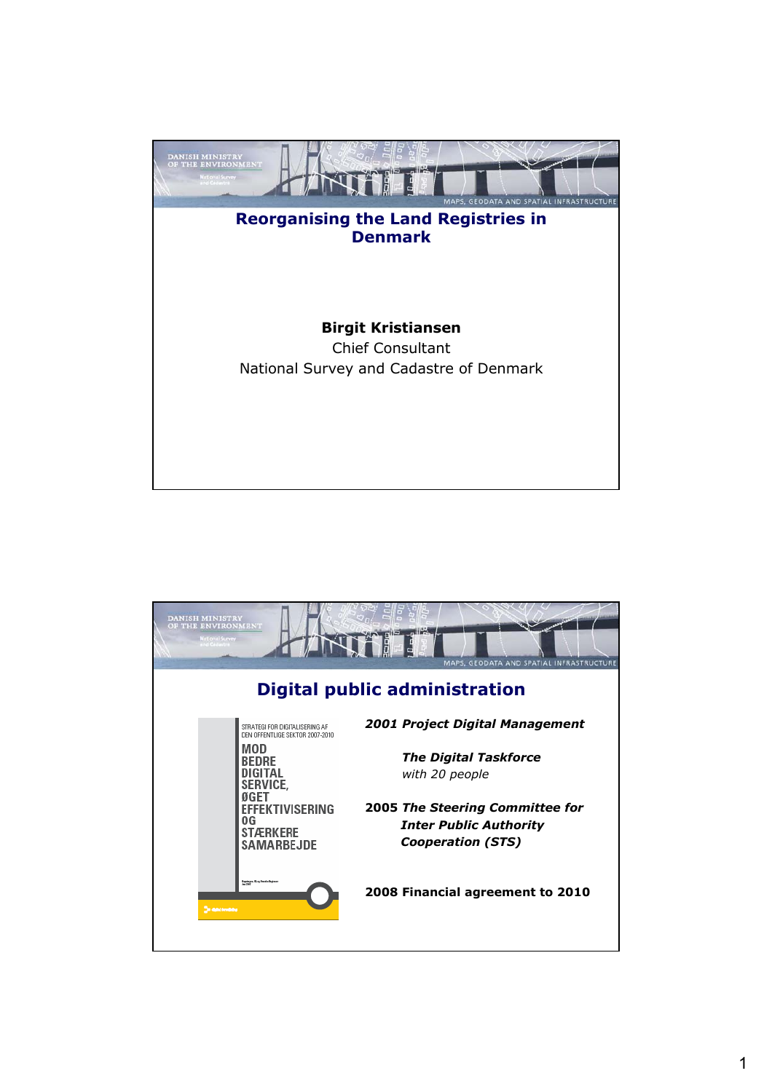

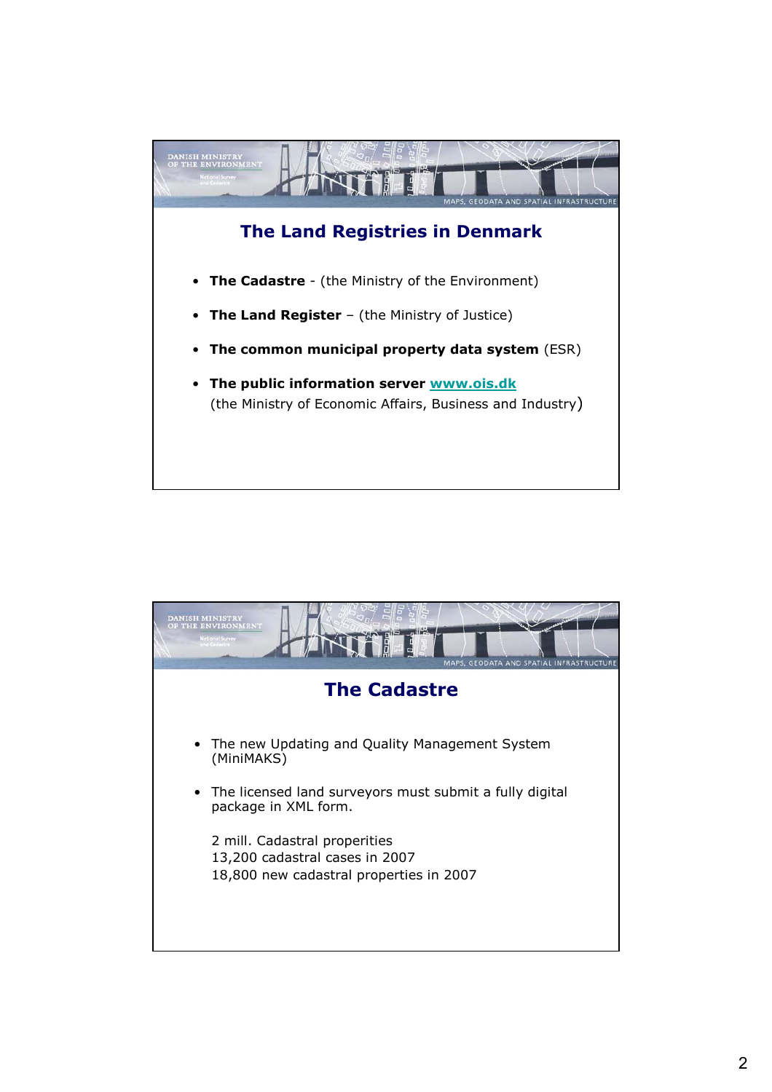

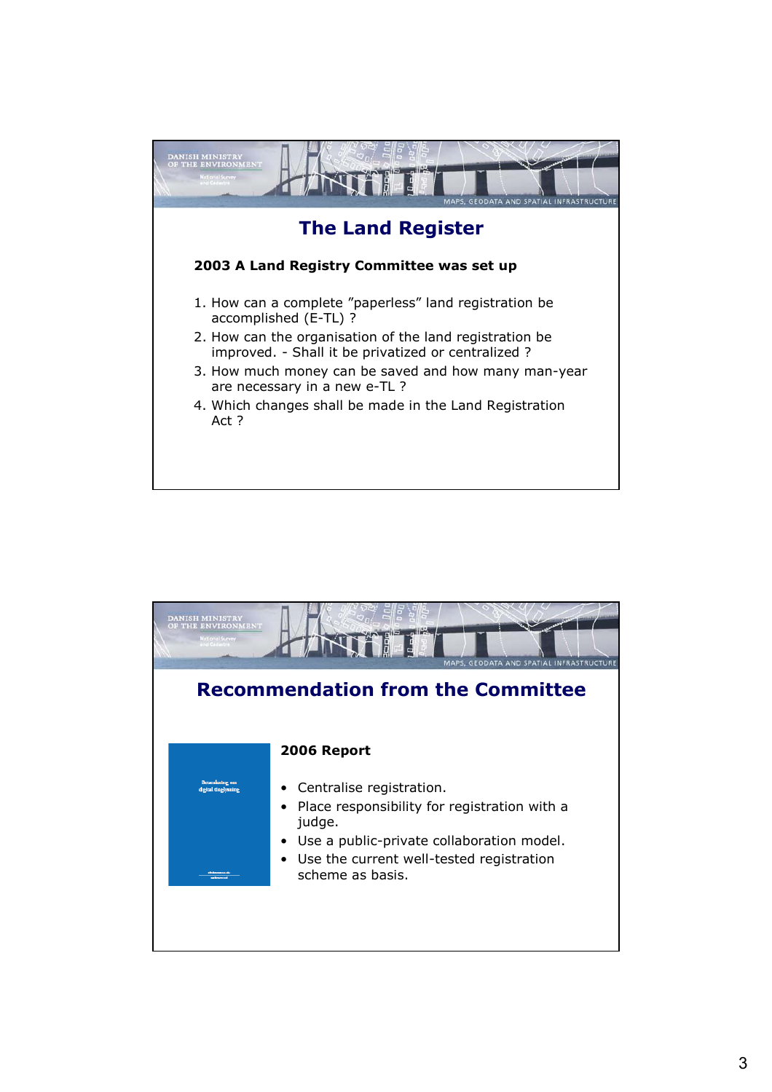

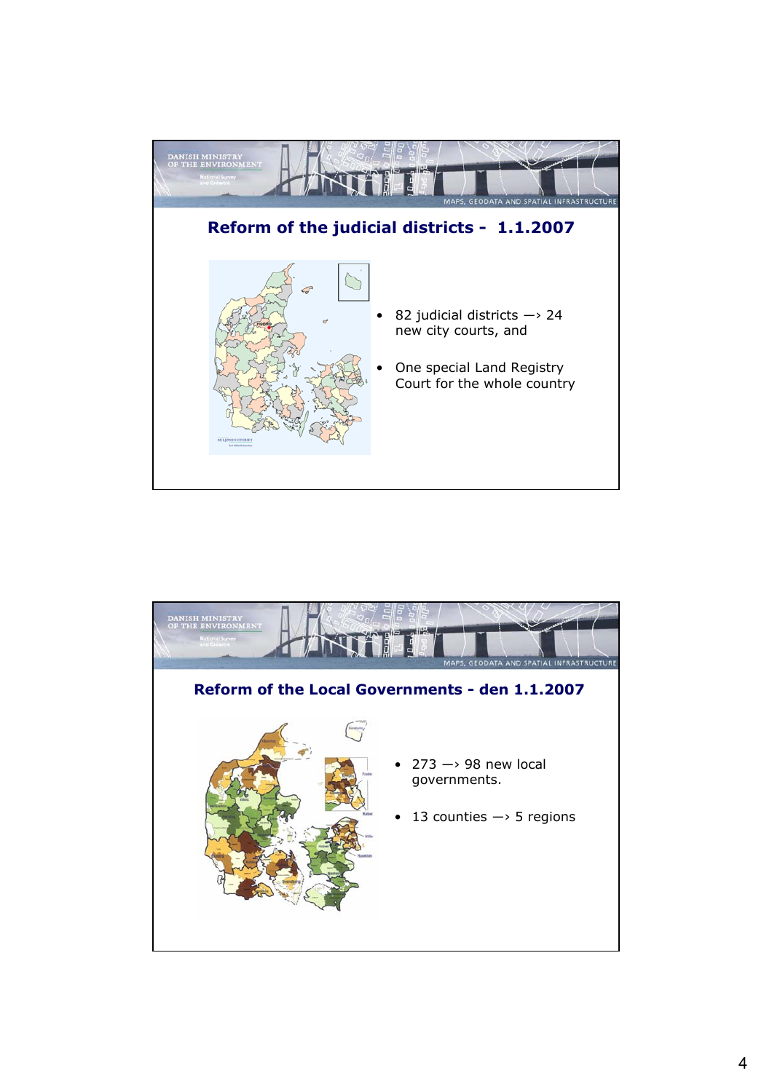

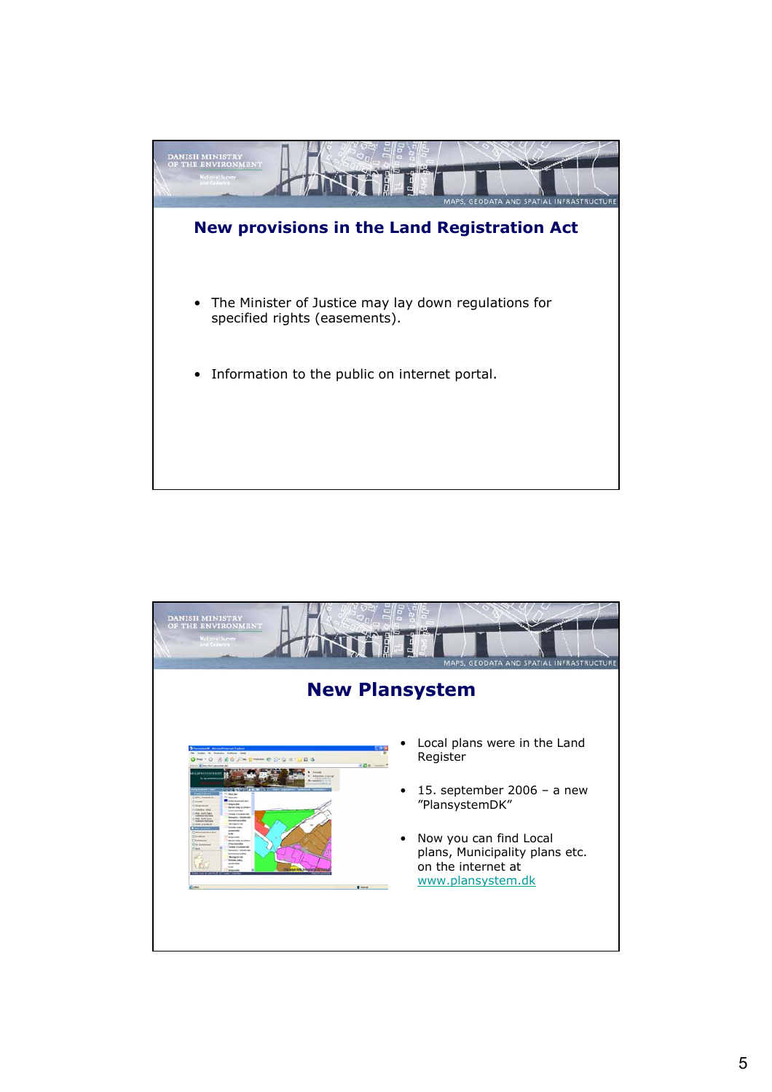

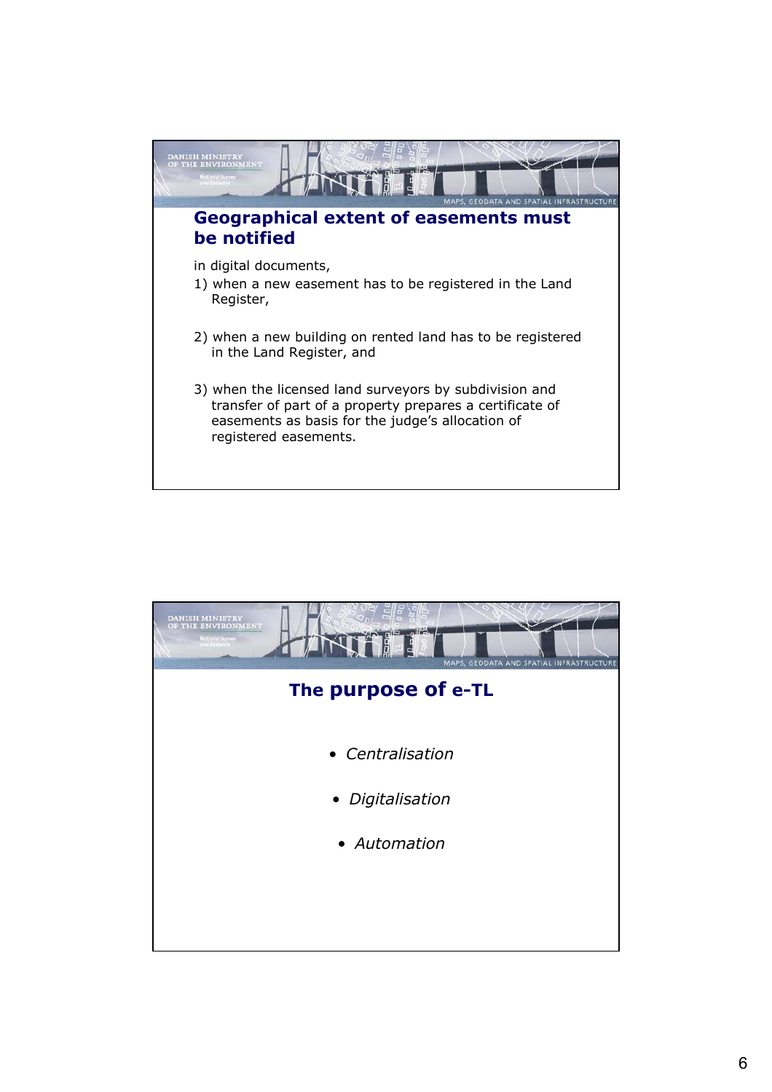

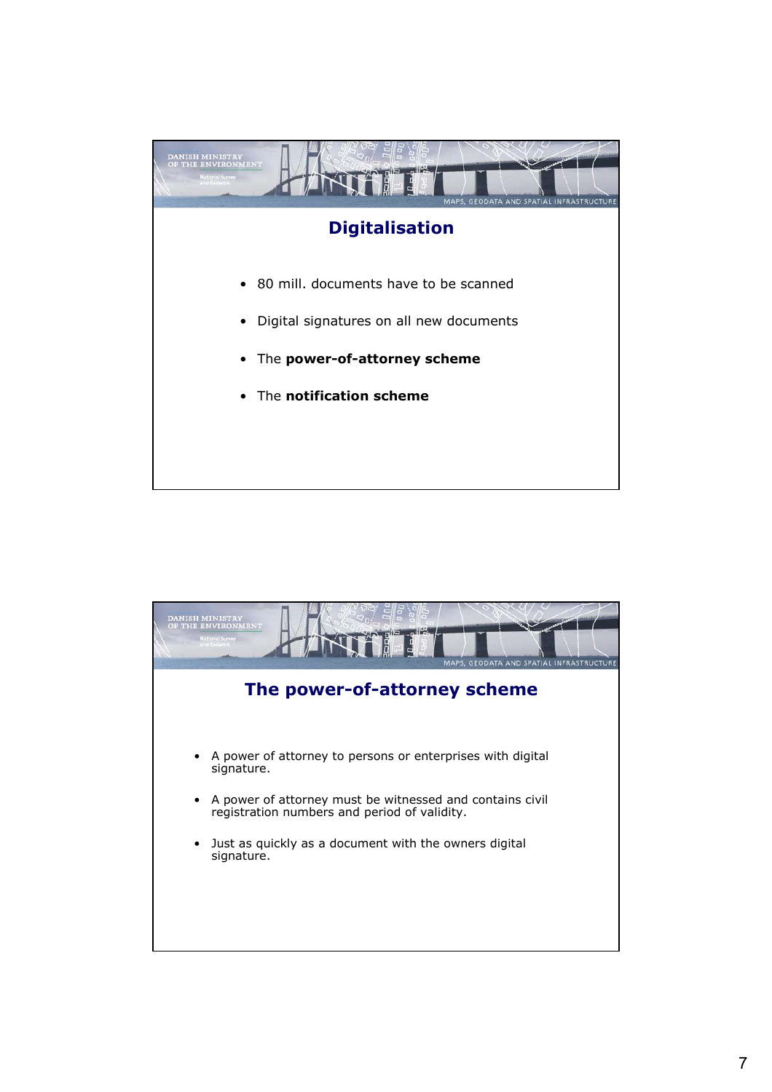

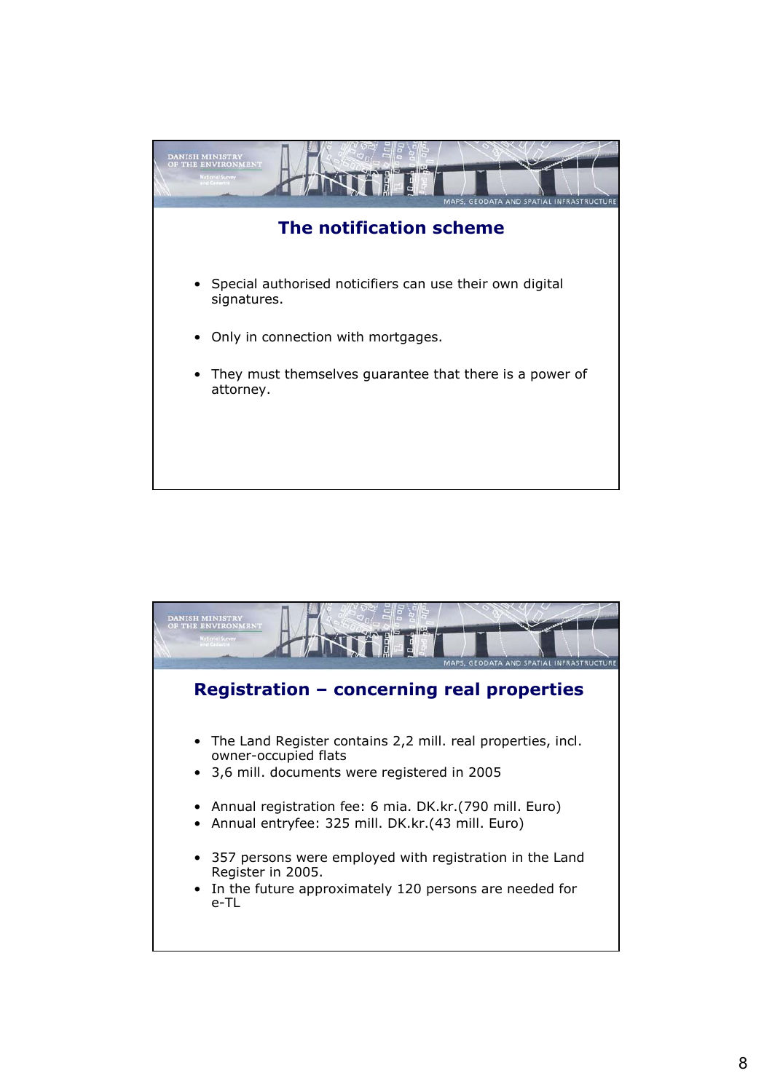

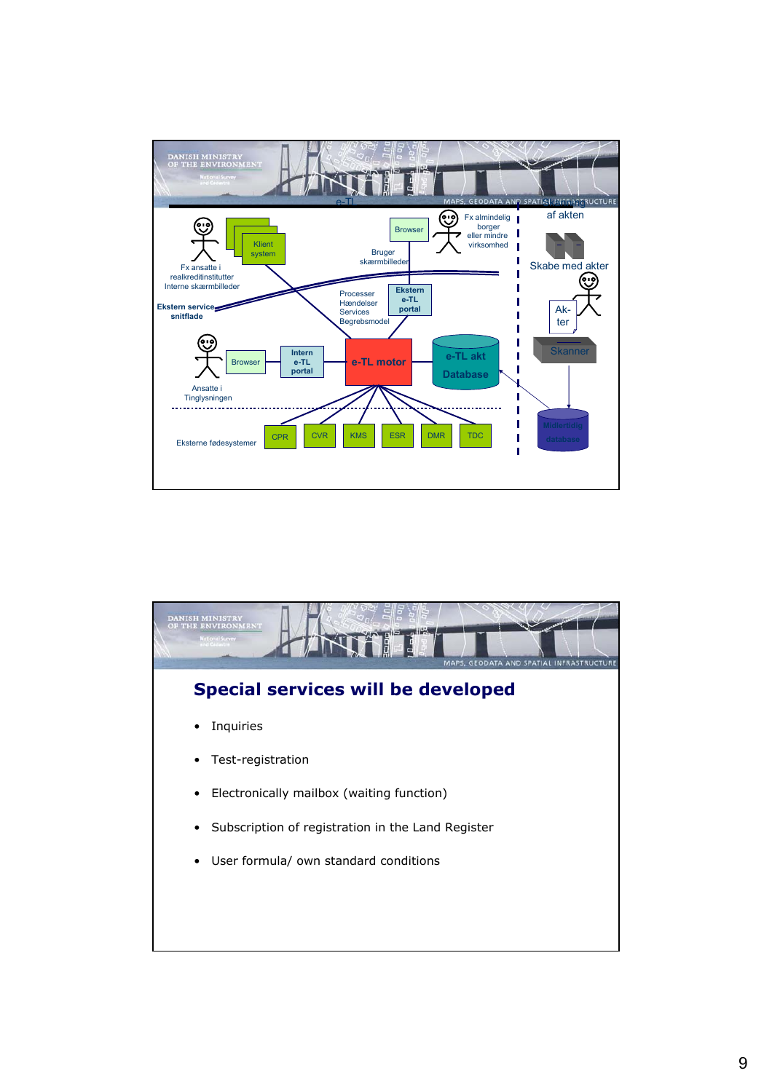

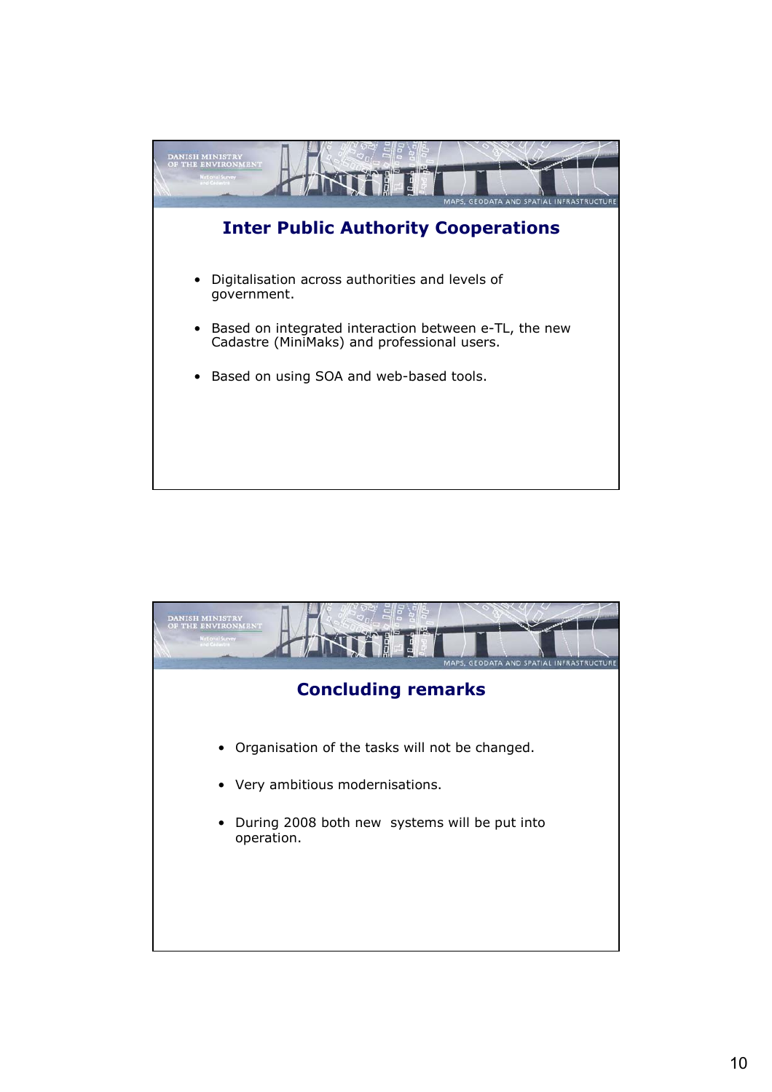